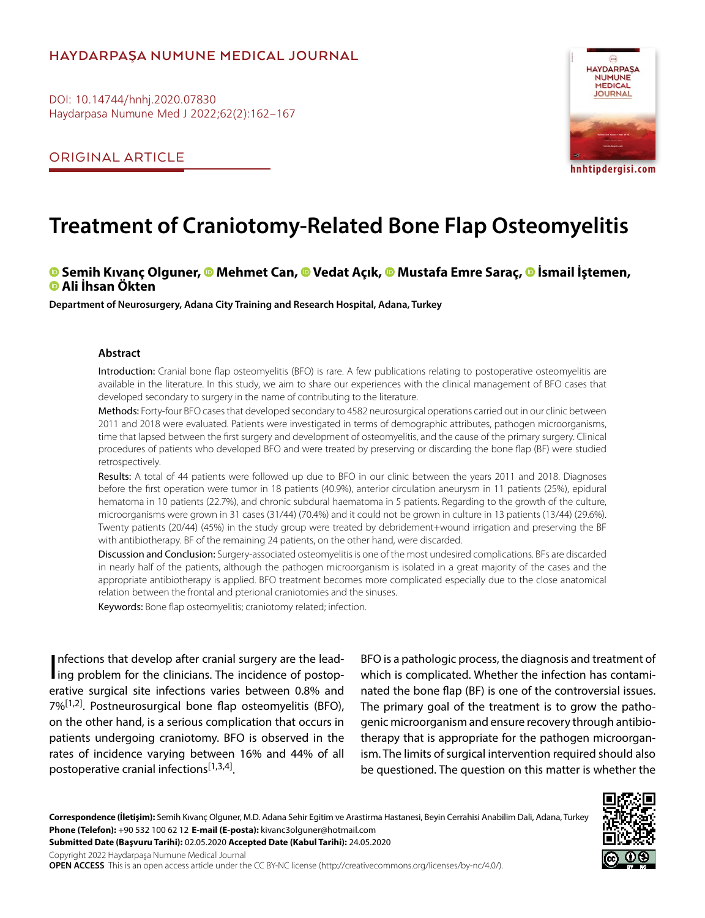# **HAYDARPAŞA NUMUNE MEDICAL JOURNAL**

DOI: 10.14744/hnhj.2020.07830 Haydarpasa Numune Med J 2022;62(2):162–167

ORIGINAL ARTICLE



# **Treatment of Craniotomy-Related Bone Flap Osteomyelitis**

# **Semih Kıvanç Olguner,Mehmet Can, [V](https://orcid.org/0000-0002-0371-5883
)edat Açık,Mustafa Emre Saraç,İsmail İştemen, Ali İhsan Ökten**

**Department of Neurosurgery, Adana City Training and Research Hospital, Adana, Turkey**

#### **Abstract**

Introduction: Cranial bone flap osteomyelitis (BFO) is rare. A few publications relating to postoperative osteomyelitis are available in the literature. In this study, we aim to share our experiences with the clinical management of BFO cases that developed secondary to surgery in the name of contributing to the literature.

Methods: Forty-four BFO cases that developed secondary to 4582 neurosurgical operations carried out in our clinic between 2011 and 2018 were evaluated. Patients were investigated in terms of demographic attributes, pathogen microorganisms, time that lapsed between the first surgery and development of osteomyelitis, and the cause of the primary surgery. Clinical procedures of patients who developed BFO and were treated by preserving or discarding the bone flap (BF) were studied retrospectively.

Results: A total of 44 patients were followed up due to BFO in our clinic between the years 2011 and 2018. Diagnoses before the first operation were tumor in 18 patients (40.9%), anterior circulation aneurysm in 11 patients (25%), epidural hematoma in 10 patients (22.7%), and chronic subdural haematoma in 5 patients. Regarding to the growth of the culture, microorganisms were grown in 31 cases (31/44) (70.4%) and it could not be grown in culture in 13 patients (13/44) (29.6%). Twenty patients (20/44) (45%) in the study group were treated by debridement+wound irrigation and preserving the BF with antibiotherapy. BF of the remaining 24 patients, on the other hand, were discarded.

Discussion and Conclusion: Surgery-associated osteomyelitis is one of the most undesired complications. BFs are discarded in nearly half of the patients, although the pathogen microorganism is isolated in a great majority of the cases and the appropriate antibiotherapy is applied. BFO treatment becomes more complicated especially due to the close anatomical relation between the frontal and pterional craniotomies and the sinuses.

Keywords: Bone flap osteomyelitis; craniotomy related; infection.

Infections that develop after cranial surgery are the leading problem for the clinicians. The incidence of postopnfections that develop after cranial surgery are the leaderative surgical site infections varies between 0.8% and 7%<sup>[1,2]</sup>. Postneurosurgical bone flap osteomyelitis (BFO), on the other hand, is a serious complication that occurs in patients undergoing craniotomy. BFO is observed in the rates of incidence varying between 16% and 44% of all postoperative cranial infections<sup>[1,3,4]</sup>.

BFO is a pathologic process, the diagnosis and treatment of which is complicated. Whether the infection has contaminated the bone flap (BF) is one of the controversial issues. The primary goal of the treatment is to grow the pathogenic microorganism and ensure recovery through antibiotherapy that is appropriate for the pathogen microorganism. The limits of surgical intervention required should also be questioned. The question on this matter is whether the

**Correspondence (İletişim):** Semih Kıvanç Olguner, M.D. Adana Sehir Egitim ve Arastirma Hastanesi, Beyin Cerrahisi Anabilim Dali, Adana, Turkey **Phone (Telefon):** +90 532 100 62 12 **E-mail (E-posta):** kivanc3olguner@hotmail.com

**Submitted Date (Başvuru Tarihi):** 02.05.2020 **Accepted Date (Kabul Tarihi):** 24.05.2020

Copyright 2022 Haydarpaşa Numune Medical Journal

**OPEN ACCESS** This is an open access article under the CC BY-NC license (http://creativecommons.org/licenses/by-nc/4.0/).

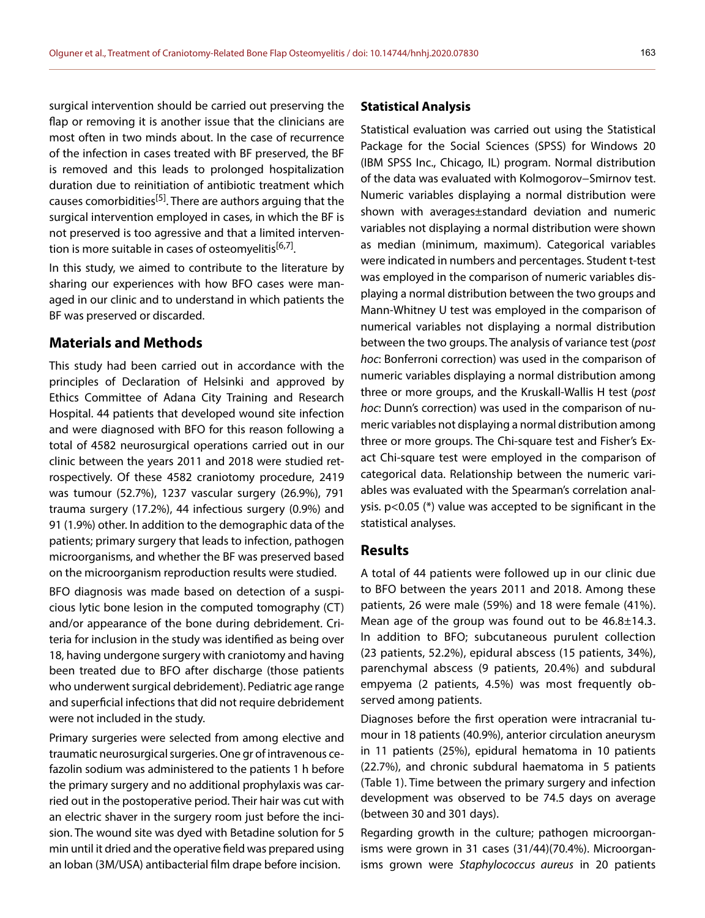surgical intervention should be carried out preserving the flap or removing it is another issue that the clinicians are most often in two minds about. In the case of recurrence of the infection in cases treated with BF preserved, the BF is removed and this leads to prolonged hospitalization duration due to reinitiation of antibiotic treatment which causes comorbidities<sup>[5]</sup>. There are authors arguing that the surgical intervention employed in cases, in which the BF is not preserved is too agressive and that a limited intervention is more suitable in cases of osteomyelitis<sup>[6,7]</sup>.

In this study, we aimed to contribute to the literature by sharing our experiences with how BFO cases were managed in our clinic and to understand in which patients the BF was preserved or discarded.

### **Materials and Methods**

This study had been carried out in accordance with the principles of Declaration of Helsinki and approved by Ethics Committee of Adana City Training and Research Hospital. 44 patients that developed wound site infection and were diagnosed with BFO for this reason following a total of 4582 neurosurgical operations carried out in our clinic between the years 2011 and 2018 were studied retrospectively. Of these 4582 craniotomy procedure, 2419 was tumour (52.7%), 1237 vascular surgery (26.9%), 791 trauma surgery (17.2%), 44 infectious surgery (0.9%) and 91 (1.9%) other. In addition to the demographic data of the patients; primary surgery that leads to infection, pathogen microorganisms, and whether the BF was preserved based on the microorganism reproduction results were studied.

BFO diagnosis was made based on detection of a suspicious lytic bone lesion in the computed tomography (CT) and/or appearance of the bone during debridement. Criteria for inclusion in the study was identified as being over 18, having undergone surgery with craniotomy and having been treated due to BFO after discharge (those patients who underwent surgical debridement). Pediatric age range and superficial infections that did not require debridement were not included in the study.

Primary surgeries were selected from among elective and traumatic neurosurgical surgeries. One gr of intravenous cefazolin sodium was administered to the patients 1 h before the primary surgery and no additional prophylaxis was carried out in the postoperative period. Their hair was cut with an electric shaver in the surgery room just before the incision. The wound site was dyed with Betadine solution for 5 min until it dried and the operative field was prepared using an Ioban (3M/USA) antibacterial film drape before incision.

#### **Statistical Analysis**

Statistical evaluation was carried out using the Statistical Package for the Social Sciences (SPSS) for Windows 20 (IBM SPSS Inc., Chicago, IL) program. Normal distribution of the data was evaluated with Kolmogorov−Smirnov test. Numeric variables displaying a normal distribution were shown with averages±standard deviation and numeric variables not displaying a normal distribution were shown as median (minimum, maximum). Categorical variables were indicated in numbers and percentages. Student t-test was employed in the comparison of numeric variables displaying a normal distribution between the two groups and Mann-Whitney U test was employed in the comparison of numerical variables not displaying a normal distribution between the two groups. The analysis of variance test (*post hoc*: Bonferroni correction) was used in the comparison of numeric variables displaying a normal distribution among three or more groups, and the Kruskall-Wallis H test (*post hoc*: Dunn's correction) was used in the comparison of numeric variables not displaying a normal distribution among three or more groups. The Chi-square test and Fisher's Exact Chi-square test were employed in the comparison of categorical data. Relationship between the numeric variables was evaluated with the Spearman's correlation analysis. p<0.05 (\*) value was accepted to be significant in the statistical analyses.

## **Results**

A total of 44 patients were followed up in our clinic due to BFO between the years 2011 and 2018. Among these patients, 26 were male (59%) and 18 were female (41%). Mean age of the group was found out to be 46.8±14.3. In addition to BFO; subcutaneous purulent collection (23 patients, 52.2%), epidural abscess (15 patients, 34%), parenchymal abscess (9 patients, 20.4%) and subdural empyema (2 patients, 4.5%) was most frequently observed among patients.

Diagnoses before the first operation were intracranial tumour in 18 patients (40.9%), anterior circulation aneurysm in 11 patients (25%), epidural hematoma in 10 patients (22.7%), and chronic subdural haematoma in 5 patients (Table 1). Time between the primary surgery and infection development was observed to be 74.5 days on average (between 30 and 301 days).

Regarding growth in the culture; pathogen microorganisms were grown in 31 cases (31/44)(70.4%). Microorganisms grown were *Staphylococcus aureus* in 20 patients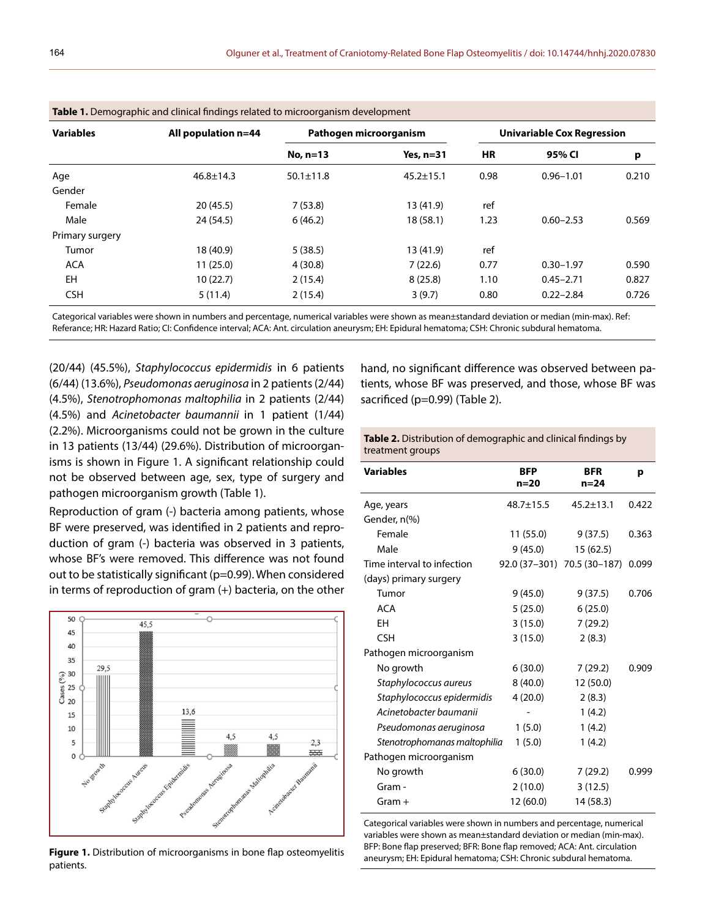| <b>Table 1:</b> Defined about and emilear imailias related to microorganism acyclopment |                     |                        |                 |                                   |               |       |  |
|-----------------------------------------------------------------------------------------|---------------------|------------------------|-----------------|-----------------------------------|---------------|-------|--|
| <b>Variables</b>                                                                        | All population n=44 | Pathogen microorganism |                 | <b>Univariable Cox Regression</b> |               |       |  |
|                                                                                         |                     | No, $n=13$             | Yes, $n=31$     | <b>HR</b>                         | 95% CI        | р     |  |
| Age                                                                                     | $46.8 \pm 14.3$     | $50.1 \pm 11.8$        | $45.2 \pm 15.1$ | 0.98                              | $0.96 - 1.01$ | 0.210 |  |
| Gender                                                                                  |                     |                        |                 |                                   |               |       |  |
| Female                                                                                  | 20(45.5)            | 7(53.8)                | 13 (41.9)       | ref                               |               |       |  |
| Male                                                                                    | 24(54.5)            | 6(46.2)                | 18(58.1)        | 1.23                              | $0.60 - 2.53$ | 0.569 |  |
| Primary surgery                                                                         |                     |                        |                 |                                   |               |       |  |
| Tumor                                                                                   | 18 (40.9)           | 5(38.5)                | 13 (41.9)       | ref                               |               |       |  |
| <b>ACA</b>                                                                              | 11(25.0)            | 4(30.8)                | 7(22.6)         | 0.77                              | $0.30 - 1.97$ | 0.590 |  |
| EH                                                                                      | 10(22.7)            | 2(15.4)                | 8(25.8)         | 1.10                              | $0.45 - 2.71$ | 0.827 |  |
| <b>CSH</b>                                                                              | 5(11.4)             | 2(15.4)                | 3(9.7)          | 0.80                              | $0.22 - 2.84$ | 0.726 |  |
|                                                                                         |                     |                        |                 |                                   |               |       |  |

**Table 1.** Demographic and clinical findings related to microorganism development

Categorical variables were shown in numbers and percentage, numerical variables were shown as mean±standard deviation or median (min-max). Ref: Referance; HR: Hazard Ratio; CI: Confidence interval; ACA: Ant. circulation aneurysm; EH: Epidural hematoma; CSH: Chronic subdural hematoma.

(20/44) (45.5%), *Staphylococcus epidermidis* in 6 patients (6/44) (13.6%), *Pseudomonas aeruginosa* in 2 patients (2/44) (4.5%), *Stenotrophomonas maltophilia* in 2 patients (2/44) (4.5%) and *Acinetobacter baumannii* in 1 patient (1/44) (2.2%). Microorganisms could not be grown in the culture in 13 patients (13/44) (29.6%). Distribution of microorganisms is shown in Figure 1. A significant relationship could not be observed between age, sex, type of surgery and pathogen microorganism growth (Table 1).

Reproduction of gram (-) bacteria among patients, whose BF were preserved, was identified in 2 patients and reproduction of gram (-) bacteria was observed in 3 patients, whose BF's were removed. This difference was not found out to be statistically significant (p=0.99). When considered in terms of reproduction of gram (+) bacteria, on the other



Figure 1. Distribution of microorganisms in bone flap osteomyelitis patients.

hand, no significant difference was observed between patients, whose BF was preserved, and those, whose BF was sacrificed (p=0.99) (Table 2).

**Table 2.** Distribution of demographic and clinical findings by treatment groups

| <b>Variables</b>             | <b>BFP</b><br>$n = 20$ | <b>BFR</b><br>$n = 24$      | р     |
|------------------------------|------------------------|-----------------------------|-------|
| Age, years                   | $48.7 \pm 15.5$        | $45.2 \pm 13.1$             | 0.422 |
| Gender, n(%)                 |                        |                             |       |
| Female                       | 11 (55.0)              | 9(37.5)                     | 0.363 |
| Male                         | 9(45.0)                | 15(62.5)                    |       |
| Time interval to infection   |                        | 92.0 (37-301) 70.5 (30-187) | 0.099 |
| (days) primary surgery       |                        |                             |       |
| Tumor                        | 9(45.0)                | 9(37.5)                     | 0.706 |
| <b>ACA</b>                   | 5(25.0)                | 6(25.0)                     |       |
| EH                           | 3(15.0)                | 7(29.2)                     |       |
| <b>CSH</b>                   | 3(15.0)                | 2(8.3)                      |       |
| Pathogen microorganism       |                        |                             |       |
| No growth                    | 6(30.0)                | 7(29.2)                     | 0.909 |
| Staphylococcus aureus        | 8(40.0)                | 12 (50.0)                   |       |
| Staphylococcus epidermidis   | 4(20.0)                | 2(8.3)                      |       |
| Acinetobacter baumanii       |                        | 1(4.2)                      |       |
| Pseudomonas aeruginosa       | 1(5.0)                 | 1(4.2)                      |       |
| Stenotrophomanas maltophilia | 1(5.0)                 | 1(4.2)                      |       |
| Pathogen microorganism       |                        |                             |       |
| No growth                    | 6(30.0)                | 7(29.2)                     | 0.999 |
| Gram -                       | 2(10.0)                | 3(12.5)                     |       |
| $Gram +$                     | 12 (60.0)              | 14 (58.3)                   |       |

Categorical variables were shown in numbers and percentage, numerical variables were shown as mean±standard deviation or median (min-max). BFP: Bone flap preserved; BFR: Bone flap removed; ACA: Ant. circulation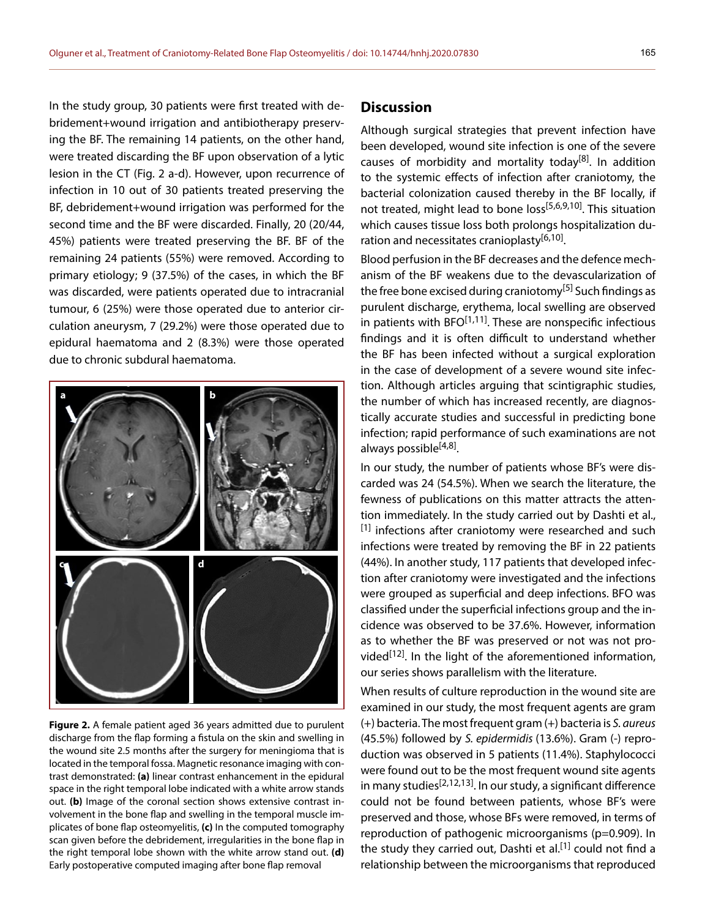In the study group, 30 patients were first treated with debridement+wound irrigation and antibiotherapy preserving the BF. The remaining 14 patients, on the other hand, were treated discarding the BF upon observation of a lytic lesion in the CT (Fig. 2 a-d). However, upon recurrence of infection in 10 out of 30 patients treated preserving the BF, debridement+wound irrigation was performed for the second time and the BF were discarded. Finally, 20 (20/44, 45%) patients were treated preserving the BF. BF of the remaining 24 patients (55%) were removed. According to primary etiology; 9 (37.5%) of the cases, in which the BF was discarded, were patients operated due to intracranial tumour, 6 (25%) were those operated due to anterior circulation aneurysm, 7 (29.2%) were those operated due to epidural haematoma and 2 (8.3%) were those operated due to chronic subdural haematoma.



**Figure 2.** A female patient aged 36 years admitted due to purulent discharge from the flap forming a fistula on the skin and swelling in the wound site 2.5 months after the surgery for meningioma that is located in the temporal fossa. Magnetic resonance imaging with contrast demonstrated: **(a)** linear contrast enhancement in the epidural space in the right temporal lobe indicated with a white arrow stands out. **(b)** Image of the coronal section shows extensive contrast involvement in the bone flap and swelling in the temporal muscle implicates of bone flap osteomyelitis, **(c)** In the computed tomography scan given before the debridement, irregularities in the bone flap in the right temporal lobe shown with the white arrow stand out. **(d)** Early postoperative computed imaging after bone flap removal

## **Discussion**

Although surgical strategies that prevent infection have been developed, wound site infection is one of the severe causes of morbidity and mortality today<sup>[8]</sup>. In addition to the systemic effects of infection after craniotomy, the bacterial colonization caused thereby in the BF locally, if not treated, might lead to bone loss<sup>[5,6,9,10]</sup>. This situation which causes tissue loss both prolongs hospitalization duration and necessitates cranioplasty<sup>[6,10]</sup>.

Blood perfusion in the BF decreases and the defence mechanism of the BF weakens due to the devascularization of the free bone excised during craniotomy<sup>[5]</sup> Such findings as purulent discharge, erythema, local swelling are observed in patients with  $BFO<sup>[1,11]</sup>$ . These are nonspecific infectious findings and it is often difficult to understand whether the BF has been infected without a surgical exploration in the case of development of a severe wound site infection. Although articles arguing that scintigraphic studies, the number of which has increased recently, are diagnostically accurate studies and successful in predicting bone infection; rapid performance of such examinations are not always possible<sup>[4,8]</sup>.

In our study, the number of patients whose BF's were discarded was 24 (54.5%). When we search the literature, the fewness of publications on this matter attracts the attention immediately. In the study carried out by Dashti et al.,  $[1]$  infections after craniotomy were researched and such infections were treated by removing the BF in 22 patients (44%). In another study, 117 patients that developed infection after craniotomy were investigated and the infections were grouped as superficial and deep infections. BFO was classified under the superficial infections group and the incidence was observed to be 37.6%. However, information as to whether the BF was preserved or not was not provided<sup>[12]</sup>. In the light of the aforementioned information, our series shows parallelism with the literature.

When results of culture reproduction in the wound site are examined in our study, the most frequent agents are gram (+) bacteria. The most frequent gram (+) bacteria is *S. aureus* (45.5%) followed by *S. epidermidis* (13.6%). Gram (-) reproduction was observed in 5 patients (11.4%). Staphylococci were found out to be the most frequent wound site agents in many studies<sup>[2,12,13]</sup>. In our study, a significant difference could not be found between patients, whose BF's were preserved and those, whose BFs were removed, in terms of reproduction of pathogenic microorganisms (p=0.909). In the study they carried out, Dashti et al.<sup>[1]</sup> could not find a relationship between the microorganisms that reproduced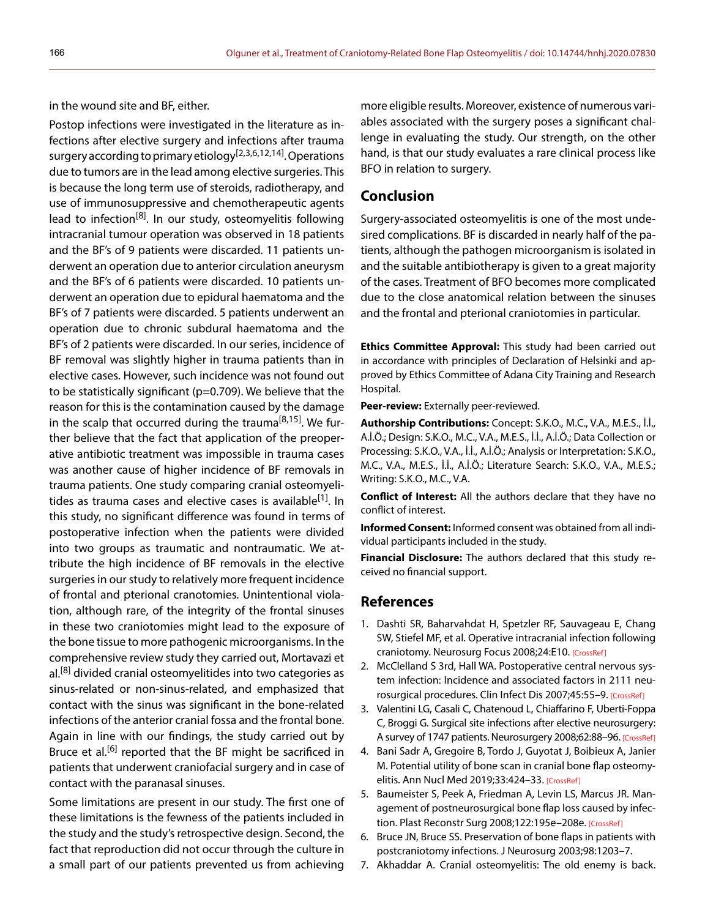in the wound site and BF, either.

Postop infections were investigated in the literature as infections after elective surgery and infections after trauma surgery according to primary etiology<sup>[2,3,6,12,14]</sup>. Operations due to tumors are in the lead among elective surgeries. This is because the long term use of steroids, radiotherapy, and use of immunosuppressive and chemotherapeutic agents lead to infection<sup>[8]</sup>. In our study, osteomyelitis following intracranial tumour operation was observed in 18 patients and the BF's of 9 patients were discarded. 11 patients underwent an operation due to anterior circulation aneurysm and the BF's of 6 patients were discarded. 10 patients underwent an operation due to epidural haematoma and the BF's of 7 patients were discarded. 5 patients underwent an operation due to chronic subdural haematoma and the BF's of 2 patients were discarded. In our series, incidence of BF removal was slightly higher in trauma patients than in elective cases. However, such incidence was not found out to be statistically significant (p=0.709). We believe that the reason for this is the contamination caused by the damage in the scalp that occurred during the trauma<sup>[8,15]</sup>. We further believe that the fact that application of the preoperative antibiotic treatment was impossible in trauma cases was another cause of higher incidence of BF removals in trauma patients. One study comparing cranial osteomyelitides as trauma cases and elective cases is available<sup>[1]</sup>. In this study, no significant difference was found in terms of postoperative infection when the patients were divided into two groups as traumatic and nontraumatic. We attribute the high incidence of BF removals in the elective surgeries in our study to relatively more frequent incidence of frontal and pterional cranotomies. Unintentional violation, although rare, of the integrity of the frontal sinuses in these two craniotomies might lead to the exposure of the bone tissue to more pathogenic microorganisms. In the comprehensive review study they carried out, Mortavazi et al.<sup>[8]</sup> divided cranial osteomyelitides into two categories as sinus-related or non-sinus-related, and emphasized that contact with the sinus was significant in the bone-related infections of the anterior cranial fossa and the frontal bone. Again in line with our findings, the study carried out by Bruce et al.<sup>[6]</sup> reported that the BF might be sacrificed in patients that underwent craniofacial surgery and in case of contact with the paranasal sinuses.

Some limitations are present in our study. The first one of these limitations is the fewness of the patients included in the study and the study's retrospective design. Second, the fact that reproduction did not occur through the culture in a small part of our patients prevented us from achieving

more eligible results. Moreover, existence of numerous variables associated with the surgery poses a significant challenge in evaluating the study. Our strength, on the other hand, is that our study evaluates a rare clinical process like BFO in relation to surgery.

## **Conclusion**

Surgery-associated osteomyelitis is one of the most undesired complications. BF is discarded in nearly half of the patients, although the pathogen microorganism is isolated in and the suitable antibiotherapy is given to a great majority of the cases. Treatment of BFO becomes more complicated due to the close anatomical relation between the sinuses and the frontal and pterional craniotomies in particular.

**Ethics Committee Approval:** This study had been carried out in accordance with principles of Declaration of Helsinki and approved by Ethics Committee of Adana City Training and Research Hospital.

**Peer-review:** Externally peer-reviewed.

**Authorship Contributions:** Concept: S.K.O., M.C., V.A., M.E.S., İ.İ., A.İ.Ö.; Design: S.K.O., M.C., V.A., M.E.S., İ.İ., A.İ.Ö.; Data Collection or Processing: S.K.O., V.A., İ.İ., A.İ.Ö.; Analysis or Interpretation: S.K.O., M.C., V.A., M.E.S., İ.İ., A.İ.Ö.; Literature Search: S.K.O., V.A., M.E.S.; Writing: S.K.O., M.C., V.A.

**Conflict of Interest:** All the authors declare that they have no conflict of interest.

**Informed Consent:** Informed consent was obtained from all individual participants included in the study.

**Financial Disclosure:** The authors declared that this study received no financial support.

# **References**

- 1. Dashti SR, Baharvahdat H, Spetzler RF, Sauvageau E, Chang SW, Stiefel MF, et al. Operative intracranial infection following craniotomy. Neurosurg Focus 2008;24:E10. [\[CrossRef\]](https://doi.org/10.3171/FOC/2008/24/6/E10)
- 2. McClelland S 3rd, Hall WA. Postoperative central nervous system infection: Incidence and associated factors in 2111 neurosurgical procedures. Clin Infect Dis 2007;45:55–9. [\[CrossRef\]](https://doi.org/10.1086/518580)
- 3. Valentini LG, Casali C, Chatenoud L, Chiaffarino F, Uberti-Foppa C, Broggi G. Surgical site infections after elective neurosurgery: A survey of 1747 patients. Neurosurgery 2008;62:88–96[. \[CrossRef\]](https://doi.org/10.1227/01.NEU.0000311065.95496.C5)
- 4. Bani Sadr A, Gregoire B, Tordo J, Guyotat J, Boibieux A, Janier M. Potential utility of bone scan in cranial bone flap osteomyelitis. Ann Nucl Med 2019;33:424–33. [\[CrossRef\]](https://doi.org/10.1007/s12149-019-01351-y)
- 5. Baumeister S, Peek A, Friedman A, Levin LS, Marcus JR. Management of postneurosurgical bone flap loss caused by infection. Plast Reconstr Surg 2008;122:195e–208e. [\[CrossRef\]](https://doi.org/10.1097/PRS.0b013e3181858eee)
- 6. Bruce JN, Bruce SS. Preservation of bone flaps in patients with postcraniotomy infections. J Neurosurg [2003;98:1203–7.](https://doi.org/10.3171/jns.2003.98.6.1203)
- 7. Akhaddar A. Cranial osteomyelitis: The old enemy is back.